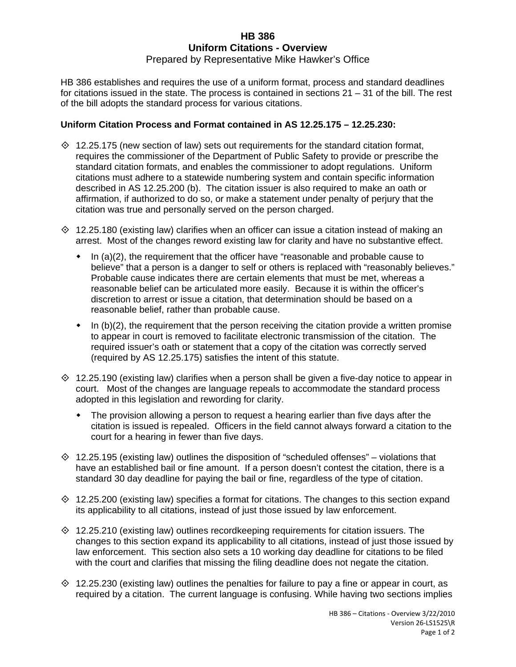# **HB 386 Uniform Citations - Overview**

## Prepared by Representative Mike Hawker's Office

HB 386 establishes and requires the use of a uniform format, process and standard deadlines for citations issued in the state. The process is contained in sections 21 – 31 of the bill. The rest of the bill adopts the standard process for various citations.

## **Uniform Citation Process and Format contained in AS 12.25.175 – 12.25.230:**

- $\Diamond$  12.25.175 (new section of law) sets out requirements for the standard citation format, requires the commissioner of the Department of Public Safety to provide or prescribe the standard citation formats, and enables the commissioner to adopt regulations. Uniform citations must adhere to a statewide numbering system and contain specific information described in AS 12.25.200 (b). The citation issuer is also required to make an oath or affirmation, if authorized to do so, or make a statement under penalty of perjury that the citation was true and personally served on the person charged.
- $\Diamond$  12.25.180 (existing law) clarifies when an officer can issue a citation instead of making an arrest. Most of the changes reword existing law for clarity and have no substantive effect.
	- $\bullet$  In (a)(2), the requirement that the officer have "reasonable and probable cause to believe" that a person is a danger to self or others is replaced with "reasonably believes." Probable cause indicates there are certain elements that must be met, whereas a reasonable belief can be articulated more easily. Because it is within the officer's discretion to arrest or issue a citation, that determination should be based on a reasonable belief, rather than probable cause.
	- $\bullet$  In (b)(2), the requirement that the person receiving the citation provide a written promise to appear in court is removed to facilitate electronic transmission of the citation. The required issuer's oath or statement that a copy of the citation was correctly served (required by AS 12.25.175) satisfies the intent of this statute.
- $\Diamond$  12.25.190 (existing law) clarifies when a person shall be given a five-day notice to appear in court. Most of the changes are language repeals to accommodate the standard process adopted in this legislation and rewording for clarity.
	- The provision allowing a person to request a hearing earlier than five days after the citation is issued is repealed. Officers in the field cannot always forward a citation to the court for a hearing in fewer than five days.
- $\Diamond$  12.25.195 (existing law) outlines the disposition of "scheduled offenses" violations that have an established bail or fine amount. If a person doesn't contest the citation, there is a standard 30 day deadline for paying the bail or fine, regardless of the type of citation.
- $\Diamond$  12.25.200 (existing law) specifies a format for citations. The changes to this section expand its applicability to all citations, instead of just those issued by law enforcement.
- $\Diamond$  12.25.210 (existing law) outlines recordkeeping requirements for citation issuers. The changes to this section expand its applicability to all citations, instead of just those issued by law enforcement. This section also sets a 10 working day deadline for citations to be filed with the court and clarifies that missing the filing deadline does not negate the citation.
- $\Diamond$  12.25.230 (existing law) outlines the penalties for failure to pay a fine or appear in court, as required by a citation. The current language is confusing. While having two sections implies